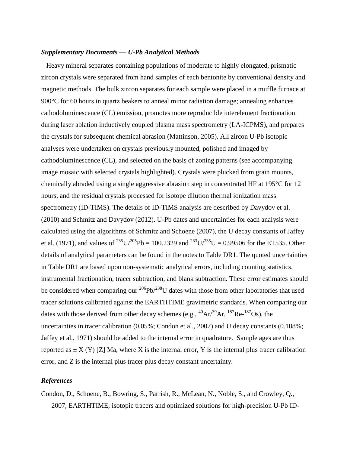## *Supplementary Documents — U-Pb Analytical Methods*

Heavy mineral separates containing populations of moderate to highly elongated, prismatic zircon crystals were separated from hand samples of each bentonite by conventional density and magnetic methods. The bulk zircon separates for each sample were placed in a muffle furnace at 900°C for 60 hours in quartz beakers to anneal minor radiation damage; annealing enhances cathodoluminescence (CL) emission, promotes more reproducible interelement fractionation during laser ablation inductively coupled plasma mass spectrometry (LA-ICPMS), and prepares the crystals for subsequent chemical abrasion (Mattinson, 2005). All zircon U-Pb isotopic analyses were undertaken on crystals previously mounted, polished and imaged by cathodoluminescence (CL), and selected on the basis of zoning patterns (see accompanying image mosaic with selected crystals highlighted). Crystals were plucked from grain mounts, chemically abraded using a single aggressive abrasion step in concentrated HF at 195°C for 12 hours, and the residual crystals processed for isotope dilution thermal ionization mass spectrometry (ID-TIMS). The details of ID-TIMS analysis are described by Davydov et al. (2010) and Schmitz and Davydov (2012). U-Pb dates and uncertainties for each analysis were calculated using the algorithms of Schmitz and Schoene (2007), the U decay constants of Jaffey et al. (1971), and values of <sup>235</sup>U/<sup>205</sup>Pb = 100.2329 and <sup>233</sup>U/<sup>235</sup>U = 0.99506 for the ET535. Other details of analytical parameters can be found in the notes to Table DR1. The quoted uncertainties in Table DR1 are based upon non-systematic analytical errors, including counting statistics, instrumental fractionation, tracer subtraction, and blank subtraction. These error estimates should be considered when comparing our  $^{206}Pb/^{238}U$  dates with those from other laboratories that used tracer solutions calibrated against the EARTHTIME gravimetric standards. When comparing our dates with those derived from other decay schemes (e.g.,  ${}^{40}Ar^{39}Ar$ ,  ${}^{187}Re^{-187}Os$ ), the uncertainties in tracer calibration (0.05%; Condon et al., 2007) and U decay constants (0.108%; Jaffey et al., 1971) should be added to the internal error in quadrature. Sample ages are thus reported as  $\pm X(Y)$  [Z] Ma, where X is the internal error, Y is the internal plus tracer calibration error, and Z is the internal plus tracer plus decay constant uncertainty.

## *References*

Condon, D., Schoene, B., Bowring, S., Parrish, R., McLean, N., Noble, S., and Crowley, Q., 2007, EARTHTIME; isotopic tracers and optimized solutions for high-precision U-Pb ID-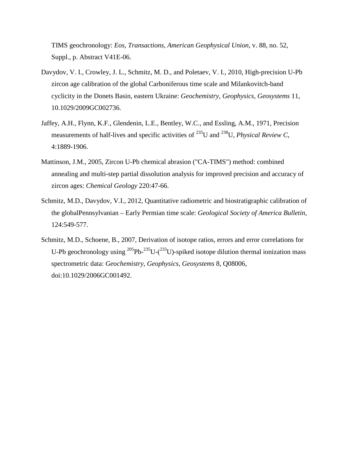TIMS geochronology: *Eos, Transactions, American Geophysical Union*, v. 88, no. 52, Suppl., p. Abstract V41E-06.

- Davydov, V. I., Crowley, J. L., Schmitz, M. D., and Poletaev, V. I., 2010, High-precision U-Pb zircon age calibration of the global Carboniferous time scale and Milankovitch-band cyclicity in the Donets Basin, eastern Ukraine: *Geochemistry, Geophysics, Geosystems* 11, 10.1029/2009GC002736.
- Jaffey, A.H., Flynn, K.F., Glendenin, L.E., Bentley, W.C., and Essling, A.M., 1971, Precision measurements of half-lives and specific activities of 235U and 238U, *Physical Review C*, 4:1889-1906.
- Mattinson, J.M., 2005, Zircon U-Pb chemical abrasion ("CA-TIMS") method: combined annealing and multi-step partial dissolution analysis for improved precision and accuracy of zircon ages: *Chemical Geology* 220:47-66.
- Schmitz, M.D., Davydov, V.I., 2012, Quantitative radiometric and biostratigraphic calibration of the globalPennsylvanian – Early Permian time scale: *Geological Society of America Bulletin*, 124:549-577.
- Schmitz, M.D., Schoene, B., 2007, Derivation of isotope ratios, errors and error correlations for U-Pb geochronology using  $^{205}Pb^{-235}U-(^{233}U)$ -spiked isotope dilution thermal ionization mass spectrometric data: *Geochemistry, Geophysics, Geosystems* 8, Q08006, doi:10.1029/2006GC001492.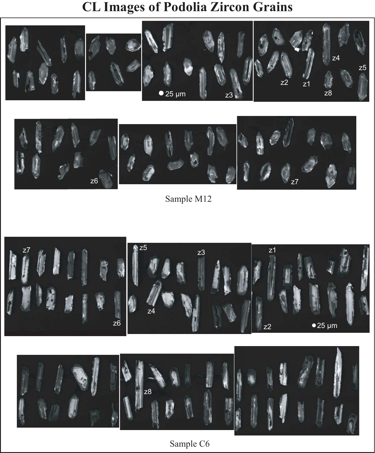## **CL Images of Podolia Zircon Grains**





Sample M12



Sample C6